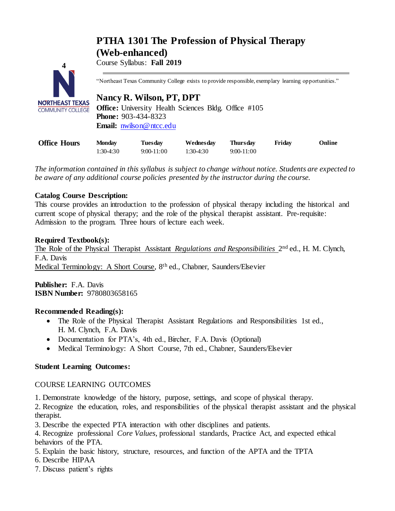# **PTHA 1301 The Profession of Physical Therapy (Web-enhanced)**



Course Syllabus: **Fall 2019**

"Northeast Texas Community College exists to provide responsible, exemplary learning opportunities."

# **Nancy R. Wilson, PT, DPT**

**Office:** University Health Sciences Bldg. Office #105 **Phone:** 903-434-8323 **Email:** [nwilson@ntcc.edu](mailto:nwilson@ntcc.edu)

| <b>Office Hours</b> | Monday    | <b>Tuesday</b> | Wednesday | <b>Thursday</b> | Friday | Online |
|---------------------|-----------|----------------|-----------|-----------------|--------|--------|
|                     | 1:30-4:30 | 9:00-11:00     | 1:30-4:30 | 9:00-11:00      |        |        |

*The information contained in this syllabus is subject to change without notice. Students are expected to be aware of any additional course policies presented by the instructor during the course.*

# **Catalog Course Description:**

This course provides an introduction to the profession of physical therapy including the historical and current scope of physical therapy; and the role of the physical therapist assistant. Pre-requisite: Admission to the program. Three hours of lecture each week.

## **Required Textbook(s):**

The Role of the Physical Therapist Assistant *Regulations and Responsibilities* 2<sup>nd</sup> ed., H. M. Clynch, F.A. Davis Medical Terminology: A Short Course, 8th ed., Chabner, Saunders/Elsevier

**Publisher:** F.A. Davis **ISBN Number:** 9780803658165

## **Recommended Reading(s):**

- The Role of the Physical Therapist Assistant Regulations and Responsibilities 1st ed., H. M. Clynch, F.A. Davis
- Documentation for PTA's, 4th ed., Bircher, F.A. Davis (Optional)
- Medical Terminology: A Short Course, 7th ed., Chabner, Saunders/Elsevier

## **Student Learning Outcomes:**

## COURSE LEARNING OUTCOMES

1. Demonstrate knowledge of the history, purpose, settings, and scope of physical therapy.

2. Recognize the education, roles, and responsibilities of the physical therapist assistant and the physical therapist.

3. Describe the expected PTA interaction with other disciplines and patients.

4. Recognize professional *Core Values*, professional standards, Practice Act, and expected ethical behaviors of the PTA.

5. Explain the basic history, structure, resources, and function of the APTA and the TPTA

6. Describe HIPAA

7. Discuss patient's rights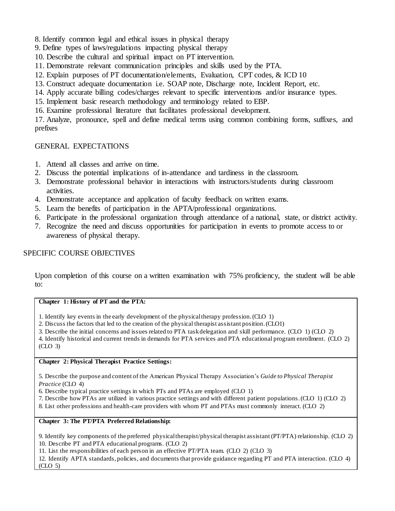- 8. Identify common legal and ethical issues in physical therapy
- 9. Define types of laws/regulations impacting physical therapy
- 10. Describe the cultural and spiritual impact on PT intervention.
- 11. Demonstrate relevant communication principles and skills used by the PTA.
- 12. Explain purposes of PT documentation/elements, Evaluation, CPT codes, & ICD 10
- 13. Construct adequate documentation i.e. SOAP note, Discharge note, Incident Report, etc.
- 14. Apply accurate billing codes/charges relevant to specific interventions and/or insurance types.
- 15. Implement basic research methodology and terminology related to EBP.
- 16. Examine professional literature that facilitates professional development.

17. Analyze, pronounce, spell and define medical terms using common combining forms, suffixes, and prefixes

## GENERAL EXPECTATIONS

- 1. Attend all classes and arrive on time.
- 2. Discuss the potential implications of in-attendance and tardiness in the classroom.
- 3. Demonstrate professional behavior in interactions with instructors/students during classroom activities.
- 4. Demonstrate acceptance and application of faculty feedback on written exams.
- 5. Learn the benefits of participation in the APTA/professional organizations.
- 6. Participate in the professional organization through attendance of a national, state, or district activity.
- 7. Recognize the need and discuss opportunities for participation in events to promote access to or awareness of physical therapy.

## SPECIFIC COURSE OBJECTIVES

Upon completion of this course on a written examination with 75% proficiency, the student will be able to:

#### **Chapter 1: History of PT and the PTA:**

1. Identify key events in the early development of the physical therapy profession. (CLO 1)

2. Discuss the factors that led to the creation of the physical therapist assistant position. (CLO1)

3. Describe the initial concerns and issues related to PTA task delegation and skill performance. (CLO 1) (CLO 2)

4. Identify historical and current trends in demands for PTA services and PTA educational program enrollment. (CLO 2) (CLO 3)

## **Chapter 2: Physical Therapist Practice Settings:**

5. Describe the purpose and content of the American Physical Therapy Association's *Guide to Physical Therapist Practice* (CLO 4)

6. Describe typical practice settings in which PTs and PTAs are employed (CLO 1)

7. Describe how PTAs are utilized in various practice settings and with different patient populations. (CLO 1) (CLO 2)

8. List other professions and health-care providers with whom PT and PTAs must commonly interact. (CLO 2)

#### **Chapter 3: The PT/PTA Preferred Relationship:**

9. Identify key components of the preferred physical therapist/physical therapist assistant (PT/PTA) relationship. (CLO 2) 10. Describe PT and PTA educational programs. (CLO 2)

11. List the responsibilities of each person in an effective PT/PTA team. (CLO 2) (CLO 3)

12. Identify APTA standards, policies, and documents that provide guidance regarding PT and PTA interaction. (CLO 4) (CLO 5)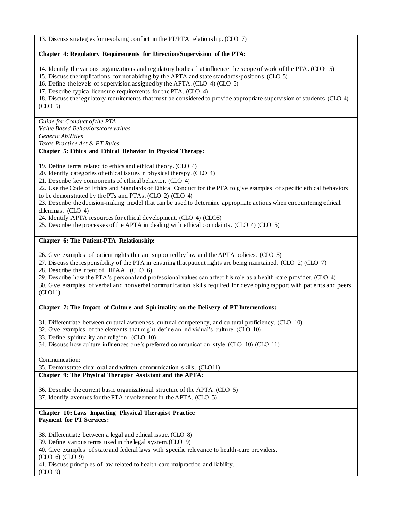13. Discuss strategies for resolving conflict in the PT/PTA relationship. (CLO 7)

#### **Chapter 4: Regulatory Requirements for Direction/Supervision of the PTA:**

14. Identify the various organizations and regulatory bodies that influence the scope of work of the PTA. (CLO 5)

15. Discuss the implications for not abiding by the APTA and state standards/positions. (CLO 5)

16. Define the levels of supervision assigned by the APTA. (CLO 4) (CLO 5)

17. Describe typical licensure requirements for the PTA. (CLO 4)

18. Discuss the regulatory requirements that must be considered to provide appropriate supervision of students. (CLO 4) (CLO 5)

*Guide for Conduct of the PTA Value Based Behaviors/core values Generic Abilities*

*Texas Practice Act & PT Rules*

#### **Chapter 5: Ethics and Ethical Behavior in Physical Therapy:**

19. Define terms related to ethics and ethical theory. (CLO 4)

20. Identify categories of ethical issues in physical therapy. (CLO 4)

21. Describe key components of ethical behavior. (CLO 4)

22. Use the Code of Ethics and Standards of Ethical Conduct for the PTA to give examples of specific ethical behaviors to be demonstrated by the PTs and PTAs. (CLO 2) (CLO 4)

23. Describe the decision-making model that can be used to determine appropriate actions when encountering ethical dilemmas. (CLO 4)

24. Identify APTA resources for ethical development. (CLO 4) (CLO5)

25. Describe the processes of the APTA in dealing with ethical complaints. (CLO 4) (CLO 5)

#### **Chapter 6: The Patient-PTA Relationship:**

26. Give examples of patient rights that are supported by law and the APTA policies. (CLO 5)

27. Discuss the responsibility of the PTA in ensuring that patient rights are being maintained. (CLO 2) (CLO 7)

28. Describe the intent of HIPAA. (CLO 6)

29. Describe how the PTA's personal and professional values can affect his role as a health -care provider. (CLO 4)

30. Give examples of verbal and nonverbal communication skills required for developing rapport with patie nts and peers. (CLO11)

#### **Chapter 7: The Impact of Culture and Spirituality on the Delivery of PT Interventions:**

31. Differentiate between cultural awareness, cultural competency, and cultural proficiency. (CLO 10)

- 32. Give examples of the elements that might define an individual's culture. (CLO 10)
- 33. Define spirituality and religion. (CLO 10)
- 34. Discuss how culture influences one's preferred communication style. (CLO 10) (CLO 11)

#### Communication:

35. Demonstrate clear oral and written communication skills. (CLO11)

## **Chapter 9: The Physical Therapist Assistant and the APTA:**

36. Describe the current basic organizational structure of the APTA. (CLO 5)

37. Identify avenues for the PTA involvement in the APTA. (CLO 5)

#### **Chapter 10: Laws Impacting Physical Therapist Practice Payment for PT Services:**

38. Differentiate between a legal and ethical issue. (CLO 8)

39. Define various terms used in the legal system. (CLO 9)

40. Give examples of state and federal laws with specific relevance to health-care providers.

(CLO 6) (CLO 9)

41. Discuss principles of law related to health-care malpractice and liability.

(CLO 9)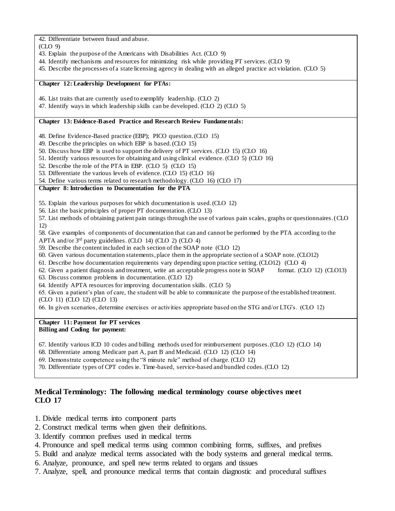42. Differentiate between fraud and abuse.

(CLO 9)

- 43. Explain the purpose of the Americans with Disabilities Act. (CLO 9)
- 44. Identify mechanisms and resources for minimizing risk while providing PT services. (CLO 9)
- 45. Describe the processes of a state licensing agency in dealing with an alleged practice act violation. (CLO 5)

#### **Chapter 12: Leadership Development for PTAs:**

- 46. List traits that are currently used to exemplify leadership. (CLO 2)
- 47. Identify ways in which leadership skills can be developed. (CLO 2) (CLO 5)

#### **Chapter 13: Evidence-Based Practice and Research Review Fundamentals:**

48. Define Evidence-Based practice (EBP); PICO question. (CLO 15)

- 49. Describe the principles on which EBP is based. (CLO 15)
- 50. Discuss how EBP is used to support the delivery of PT services. (CLO 15) (CLO 16)
- 51. Identify various resources for obtaining and using clinical evidence. (CLO 5) (CLO 16)
- 52. Describe the role of the PTA in EBP. (CLO 5) (CLO 15)
- 53. Differentiate the various levels of evidence. (CLO 15) (CLO 16)
- 54. Define various terms related to research methodology. (CLO 16) (CLO 17)

## **Chapter 8: Introduction to Documentation for the PTA**

55. Explain the various purposes for which documentation is used. (CLO 12)

56. List the basic principles of proper PT documentation. (CLO 13)

57. List methods of obtaining patient pain ratings through the use of various pain scales, graphs or questionnaires. (CLO 12)

58. Give examples of components of documentation that can and cannot be performed by the PTA according to the APTA and/or 3rd party guidelines. (CLO 14) (CLO 2) (CLO 4)

- 59. Describe the content included in each section of the SOAP note (CLO 12)
- 60. Given various documentation statements, place them in the appropriate section of a SOAP note. (CLO12)
- 61. Describe how documentation requirements vary depending upon practice setting. (CLO12) (CLO 4)
- 62. Given a patient diagnosis and treatment, write an acceptable progress note in SOAP format. (CLO 12) (CLO13)
- 63. Discuss common problems in documentation. (CLO 12)
- 64. Identify APTA resources for improving documentation skills. (CLO 5)

65. Given a patient's plan of care, the student will be able to communicate the purpose of the established treatment. (CLO 11) (CLO 12) (CLO 13)

66. In given scenarios, determine exercises or activities appropriate based on the STG and/or LTG's. (CLO 12)

#### **Chapter 11: Payment for PT services Billing and Coding for payment:**

- 67. Identify various ICD 10 codes and billing methods used for reimbursement purposes. (CLO 12) (CLO 14)
- 68. Differentiate among Medicare part A, part B and Medicaid. (CLO 12) (CLO 14)
- 69. Demonstrate competence using the "8 minute rule" method of charge. (CLO 12)
- 70. Differentiate types of CPT codes ie. Time-based, service-based and bundled codes. (CLO 12)

# **Medical Terminology: The following medical terminology course objectives meet CLO 17**

- 1. Divide medical terms into component parts
- 2. Construct medical terms when given their definitions.
- 3. Identify common prefixes used in medical terms
- 4. Pronounce and spell medical terms using common combining forms, suffixes, and prefixes
- 5. Build and analyze medical terms associated with the body systems and general medical terms.
- 6. Analyze, pronounce, and spell new terms related to organs and tissues
- 7. Analyze, spell, and pronounce medical terms that contain diagnostic and procedural suffixes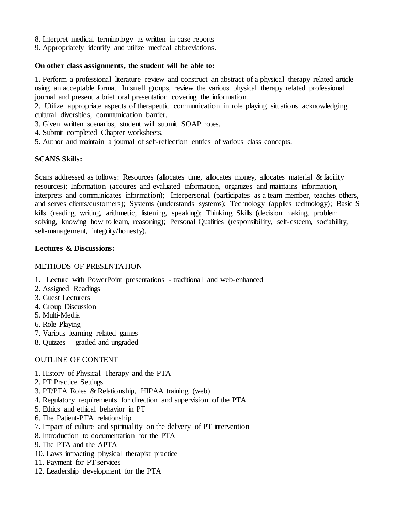- 8. Interpret medical terminology as written in case reports
- 9. Appropriately identify and utilize medical abbreviations.

## **On other class assignments, the student will be able to:**

1. Perform a professional literature review and construct an abstract of a physical therapy related article using an acceptable format. In small groups, review the various physical therapy related professional journal and present a brief oral presentation covering the information.

2. Utilize appropriate aspects of therapeutic communication in role playing situations acknowledging cultural diversities, communication barrier.

3. Given written scenarios, student will submit SOAP notes.

- 4. Submit completed Chapter worksheets.
- 5. Author and maintain a journal of self-reflection entries of various class concepts.

## **SCANS Skills:**

Scans addressed as follows: Resources (allocates time, allocates money, allocates material & facility resources); Information (acquires and evaluated information, organizes and maintains information, interprets and communicates information); Interpersonal (participates as a team member, teaches others, and serves clients/customers); Systems (understands systems); Technology (applies technology); Basic S kills (reading, writing, arithmetic, listening, speaking); Thinking Skills (decision making, problem solving, knowing how to learn, reasoning); Personal Qualities (responsibility, self-esteem, sociability, self-management, integrity/honesty).

## **Lectures & Discussions:**

#### METHODS OF PRESENTATION

- 1. Lecture with PowerPoint presentations traditional and web-enhanced
- 2. Assigned Readings
- 3. Guest Lecturers
- 4. Group Discussion
- 5. Multi-Media
- 6. Role Playing
- 7. Various learning related games
- 8. Quizzes graded and ungraded

## OUTLINE OF CONTENT

- 1. History of Physical Therapy and the PTA
- 2. PT Practice Settings
- 3. PT/PTA Roles & Relationship, HIPAA training (web)
- 4. Regulatory requirements for direction and supervision of the PTA
- 5. Ethics and ethical behavior in PT
- 6. The Patient-PTA relationship
- 7. Impact of culture and spirituality on the delivery of PT intervention
- 8. Introduction to documentation for the PTA
- 9. The PTA and the APTA
- 10. Laws impacting physical therapist practice
- 11. Payment for PT services
- 12. Leadership development for the PTA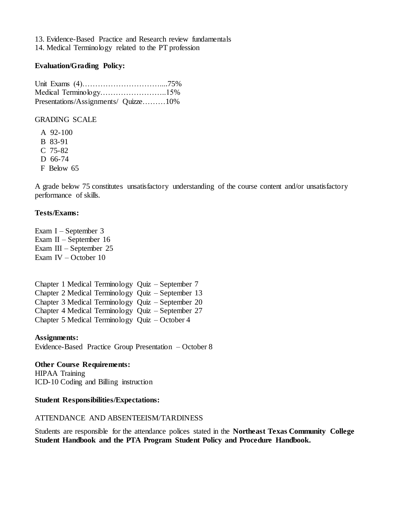13. Evidence-Based Practice and Research review fundamentals 14. Medical Terminology related to the PT profession

#### **Evaluation/Grading Policy:**

Unit Exams (4)…………………………....75% Medical Terminology……………………..15% Presentations/Assignments/ Quizze………10%

GRADING SCALE

A 92-100 B 83-91 C 75-82 D 66-74 F Below 65

A grade below 75 constitutes unsatisfactory understanding of the course content and/or unsatisfactory performance of skills.

## **Tests/Exams:**

Exam I – September 3 Exam II – September 16 Exam III – September 25 Exam IV – October 10

Chapter 1 Medical Terminology Quiz – September 7 Chapter 2 Medical Terminology Quiz – September 13 Chapter 3 Medical Terminology Quiz – September 20 Chapter 4 Medical Terminology Quiz – September 27 Chapter 5 Medical Terminology Quiz – October 4

**Assignments:** Evidence-Based Practice Group Presentation – October 8

**Other Course Requirements:** HIPAA Training ICD-10 Coding and Billing instruction

#### **Student Responsibilities/Expectations:**

#### ATTENDANCE AND ABSENTEEISM/TARDINESS

Students are responsible for the attendance polices stated in the **Northeast Texas Community College Student Handbook and the PTA Program Student Policy and Procedure Handbook.**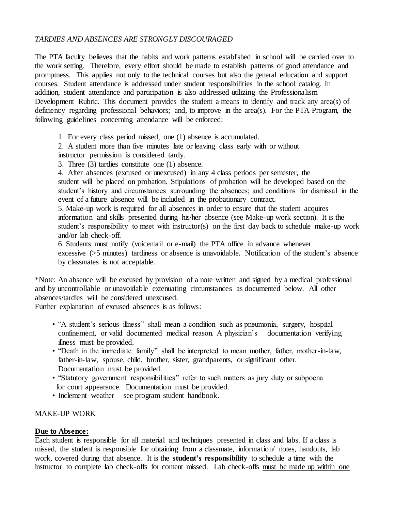# *TARDIES AND ABSENCES ARE STRONGLY DISCOURAGED*

The PTA faculty believes that the habits and work patterns established in school will be carried over to the work setting. Therefore, every effort should be made to establish patterns of good attendance and promptness. This applies not only to the technical courses but also the general education and support courses. Student attendance is addressed under student responsibilities in the school catalog. In addition, student attendance and participation is also addressed utilizing the Professionalism Development Rubric. This document provides the student a means to identify and track any area(s) of deficiency regarding professional behaviors; and, to improve in the area(s). For the PTA Program, the following guidelines concerning attendance will be enforced:

1. For every class period missed, one (1) absence is accumulated.

2. A student more than five minutes late or leaving class early with or without instructor permission is considered tardy.

3. Three (3) tardies constitute one (1) absence.

4. After absences (excused or unexcused) in any 4 class periods per semester, the student will be placed on probation. Stipulations of probation will be developed based on the student's history and circumstances surrounding the absences; and conditions for dismissal in the event of a future absence will be included in the probationary contract.

5. Make-up work is required for all absences in order to ensure that the student acquires information and skills presented during his/her absence (see Make-up work section). It is the student's responsibility to meet with instructor(s) on the first day back to schedule make-up work and/or lab check-off.

6. Students must notify (voicemail or e-mail) the PTA office in advance whenever excessive (>5 minutes) tardiness or absence is unavoidable. Notification of the student's absence by classmates is not acceptable.

\*Note: An absence will be excused by provision of a note written and signed by a medical professional and by uncontrollable or unavoidable extenuating circumstances as documented below. All other absences/tardies will be considered unexcused.

Further explanation of excused absences is as follows:

- "A student's serious illness" shall mean a condition such as pneumonia, surgery, hospital confinement, or valid documented medical reason. A physician's documentation verifying illness must be provided.
- "Death in the immediate family" shall be interpreted to mean mother, father, mother-in-law, father-in-law, spouse, child, brother, sister, grandparents, or significant other. Documentation must be provided.
- "Statutory government responsibilities" refer to such matters as jury duty or subpoena for court appearance. Documentation must be provided.
- Inclement weather see program student handbook.

## MAKE-UP WORK

#### **Due to Absence:**

Each student is responsible for all material and techniques presented in class and labs. If a class is missed, the student is responsible for obtaining from a classmate, information/ notes, handouts, lab work, covered during that absence. It is the **student's responsibility** to schedule a time with the instructor to complete lab check-offs for content missed. Lab check-offs must be made up within one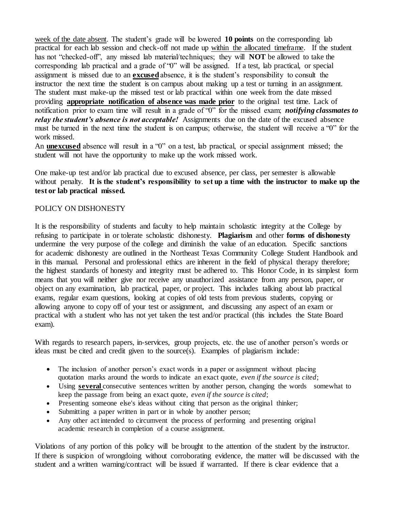week of the date absent. The student's grade will be lowered **10 points** on the corresponding lab practical for each lab session and check-off not made up within the allocated timeframe. If the student has not "checked-off", any missed lab material/techniques; they will **NOT** be allowed to take the corresponding lab practical and a grade of "0" will be assigned. If a test, lab practical, or special assignment is missed due to an **excused**absence, it is the student's responsibility to consult the instructor the next time the student is on campus about making up a test or turning in an assignment. The student must make-up the missed test or lab practical within one week from the date missed providing **appropriate notification of absence was made prior** to the original test time. Lack of notification prior to exam time will result in a grade of "0" for the missed exam; *notifying classmates to relay the student's absence is not acceptable!* Assignments due on the date of the excused absence must be turned in the next time the student is on campus; otherwise, the student will receive a "0" for the work missed.

An **unexcused** absence will result in a "0" on a test, lab practical, or special assignment missed; the student will not have the opportunity to make up the work missed work.

One make-up test and/or lab practical due to excused absence, per class, per semester is allowable without penalty. It is the student's responsibility to set up a time with the instructor to make up the **test or lab practical missed.**

## POLICY ON DISHONESTY

It is the responsibility of students and faculty to help maintain scholastic integrity at the College by refusing to participate in or tolerate scholastic dishonesty. **Plagiarism** and other **forms of dishonesty** undermine the very purpose of the college and diminish the value of an education. Specific sanctions for academic dishonesty are outlined in the Northeast Texas Community College Student Handbook and in this manual. Personal and professional ethics are inherent in the field of physical therapy therefore; the highest standards of honesty and integrity must be adhered to. This Honor Code, in its simplest form means that you will neither give nor receive any unauthorized assistance from any person, paper, or object on any examination, lab practical, paper, or project. This includes talking about lab practical exams, regular exam questions, looking at copies of old tests from previous students, copying or allowing anyone to copy off of your test or assignment, and discussing any aspect of an exam or practical with a student who has not yet taken the test and/or practical (this includes the State Board exam).

With regards to research papers, in-services, group projects, etc. the use of another person's words or ideas must be cited and credit given to the source(s). Examples of plagiarism include:

- The inclusion of another person's exact words in a paper or assignment without placing quotation marks around the words to indicate an exact quote, *even if the source is cited*;
- Using **several** consecutive sentences written by another person, changing the words somewhat to keep the passage from being an exact quote, *even if the source is cited*;
- Presenting someone else's ideas without citing that person as the original thinker;
- Submitting a paper written in part or in whole by another person;
- Any other act intended to circumvent the process of performing and presenting original academic research in completion of a course assignment.

Violations of any portion of this policy will be brought to the attention of the student by the instructor. If there is suspicion of wrongdoing without corroborating evidence, the matter will be discussed with the student and a written warning/contract will be issued if warranted. If there is clear evidence that a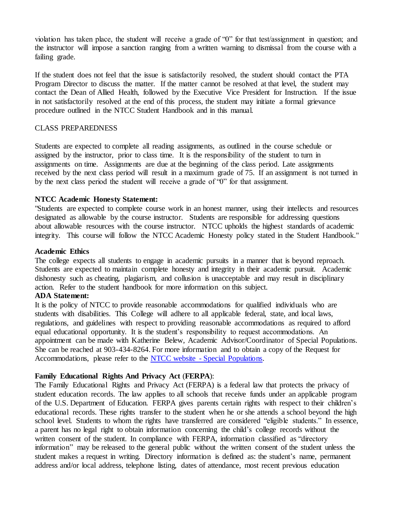violation has taken place, the student will receive a grade of "0" for that test/assignment in question; and the instructor will impose a sanction ranging from a written warning to dismissal from the course with a failing grade.

If the student does not feel that the issue is satisfactorily resolved, the student should contact the PTA Program Director to discuss the matter. If the matter cannot be resolved at that level, the student may contact the Dean of Allied Health, followed by the Executive Vice President for Instruction. If the issue in not satisfactorily resolved at the end of this process, the student may initiate a formal grievance procedure outlined in the NTCC Student Handbook and in this manual.

## CLASS PREPAREDNESS

Students are expected to complete all reading assignments, as outlined in the course schedule or assigned by the instructor, prior to class time. It is the responsibility of the student to turn in assignments on time. Assignments are due at the beginning of the class period. Late assignments received by the next class period will result in a maximum grade of 75. If an assignment is not turned in by the next class period the student will receive a grade of "0" for that assignment.

## **NTCC Academic Honesty Statement:**

"Students are expected to complete course work in an honest manner, using their intellects and resources designated as allowable by the course instructor. Students are responsible for addressing questions about allowable resources with the course instructor. NTCC upholds the highest standards of academic integrity. This course will follow the NTCC Academic Honesty policy stated in the Student Handbook."

#### **Academic Ethics**

The college expects all students to engage in academic pursuits in a manner that is beyond reproach. Students are expected to maintain complete honesty and integrity in their academic pursuit. Academic dishonesty such as cheating, plagiarism, and collusion is unacceptable and may result in disciplinary action. Refer to the student handbook for more information on this subject.

#### **ADA Statement:**

It is the policy of NTCC to provide reasonable accommodations for qualified individuals who are students with disabilities. This College will adhere to all applicable federal, state, and local laws, regulations, and guidelines with respect to providing reasonable accommodations as required to afford equal educational opportunity. It is the student's responsibility to request accommodations. An appointment can be made with Katherine Belew, Academic Advisor/Coordinator of Special Populations. She can be reached at 903-434-8264. For more information and to obtain a copy of the Request for Accommodations, please refer to the NTCC website - [Special Populations.](http://www.ntcc.edu/index.php?module=Pagesetter&func=viewpub&tid=111&pid=1)

## **Family Educational Rights And Privacy Act** (**FERPA**):

The Family Educational Rights and Privacy Act (FERPA) is a federal law that protects the privacy of student education records. The law applies to all schools that receive funds under an applicable program of the U.S. Department of Education. FERPA gives parents certain rights with respect to their children's educational records. These rights transfer to the student when he or she attends a school beyond the high school level. Students to whom the rights have transferred are considered "eligible students." In essence, a parent has no legal right to obtain information concerning the child's college records without the written consent of the student. In compliance with FERPA, information classified as "directory information" may be released to the general public without the written consent of the student unless the student makes a request in writing. Directory information is defined as: the student's name, permanent address and/or local address, telephone listing, dates of attendance, most recent previous education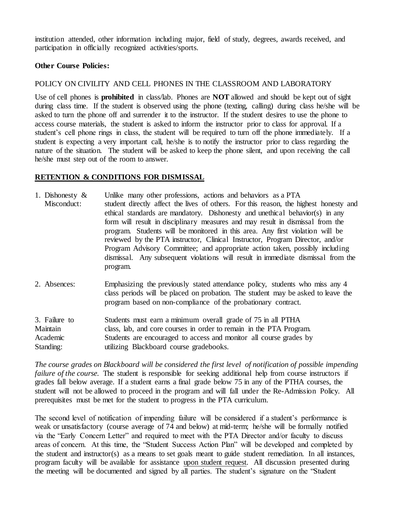institution attended, other information including major, field of study, degrees, awards received, and participation in officially recognized activities/sports.

## **Other Course Policies:**

## POLICY ON CIVILITY AND CELL PHONES IN THE CLASSROOM AND LABORATORY

Use of cell phones is **prohibited** in class/lab. Phones are **NOT** allowed and should be kept out of sight during class time. If the student is observed using the phone (texting, calling) during class he/she will be asked to turn the phone off and surrender it to the instructor. If the student desires to use the phone to access course materials, the student is asked to inform the instructor prior to class for approval. If a student's cell phone rings in class, the student will be required to turn off the phone immediately. If a student is expecting a very important call, he/she is to notify the instructor prior to class regarding the nature of the situation. The student will be asked to keep the phone silent, and upon receiving the call he/she must step out of the room to answer.

## **RETENTION & CONDITIONS FOR DISMISSAL**

- 1. Dishonesty & Unlike many other professions, actions and behaviors as a PTA Misconduct: student directly affect the lives of others. For this reason, the highest honesty and ethical standards are mandatory. Dishonesty and unethical behavior(s) in any form will result in disciplinary measures and may result in dismissal from the program. Students will be monitored in this area. Any first violation will be reviewed by the PTA instructor, Clinical Instructor, Program Director, and/or Program Advisory Committee; and appropriate action taken, possibly including dismissal. Any subsequent violations will result in immediate dismissal from the program.
- 2. Absences: Emphasizing the previously stated attendance policy, students who miss any 4 class periods will be placed on probation. The student may be asked to leave the program based on non-compliance of the probationary contract.

3. Failure to Students must earn a minimum overall grade of 75 in all PTHA Maintain class, lab, and core courses in order to remain in the PTA Program. Academic Students are encouraged to access and monitor all course grades by Standing: utilizing Blackboard course gradebooks.

*The course grades on Blackboard will be considered the first level of notification of possible impending failure of the course.* The student is responsible for seeking additional help from course instructors if grades fall below average. If a student earns a final grade below 75 in any of the PTHA courses, the student will not be allowed to proceed in the program and will fall under the Re-Admission Policy. All prerequisites must be met for the student to progress in the PTA curriculum.

The second level of notification of impending failure will be considered if a student's performance is weak or unsatisfactory (course average of 74 and below) at mid-term; he/she will be formally notified via the "Early Concern Letter" and required to meet with the PTA Director and/or faculty to discuss areas of concern. At this time, the "Student Success Action Plan" will be developed and completed by the student and instructor(s) as a means to set goals meant to guide student remediation. In all instances, program faculty will be available for assistance upon student request. All discussion presented during the meeting will be documented and signed by all parties. The student's signature on the "Student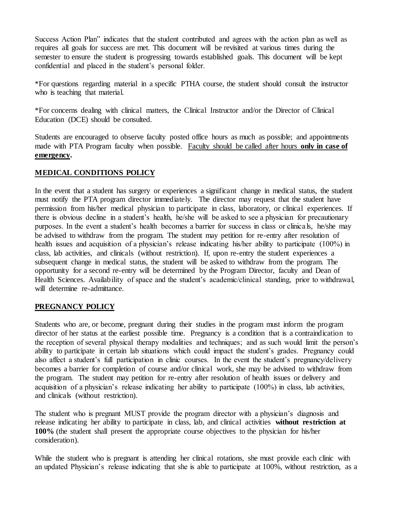Success Action Plan" indicates that the student contributed and agrees with the action plan as well as requires all goals for success are met. This document will be revisited at various times during the semester to ensure the student is progressing towards established goals. This document will be kept confidential and placed in the student's personal folder.

\*For questions regarding material in a specific PTHA course, the student should consult the instructor who is teaching that material.

\*For concerns dealing with clinical matters, the Clinical Instructor and/or the Director of Clinical Education (DCE) should be consulted.

Students are encouraged to observe faculty posted office hours as much as possible; and appointments made with PTA Program faculty when possible. Faculty should be called after hours **only in case of emergency.**

## **MEDICAL CONDITIONS POLICY**

In the event that a student has surgery or experiences a significant change in medical status, the student must notify the PTA program director immediately. The director may request that the student have permission from his/her medical physician to participate in class, laboratory, or clinical experiences. If there is obvious decline in a student's health, he/she will be asked to see a physician for precautionary purposes. In the event a student's health becomes a barrier for success in class or clinica ls, he/she may be advised to withdraw from the program. The student may petition for re-entry after resolution of health issues and acquisition of a physician's release indicating his/her ability to participate (100%) in class, lab activities, and clinicals (without restriction). If, upon re-entry the student experiences a subsequent change in medical status, the student will be asked to withdraw from the program. The opportunity for a second re-entry will be determined by the Program Director, faculty and Dean of Health Sciences. Availability of space and the student's academic/clinical standing, prior to withdrawal, will determine re-admittance.

## **PREGNANCY POLICY**

Students who are, or become, pregnant during their studies in the program must inform the program director of her status at the earliest possible time. Pregnancy is a condition that is a contraindication to the reception of several physical therapy modalities and techniques; and as such would limit the person's ability to participate in certain lab situations which could impact the student's grades. Pregnancy could also affect a student's full participation in clinic courses. In the event the student's pregnancy/delivery becomes a barrier for completion of course and/or clinical work, she may be advised to withdraw from the program. The student may petition for re-entry after resolution of health issues or delivery and acquisition of a physician's release indicating her ability to participate (100%) in class, lab activities, and clinicals (without restriction).

The student who is pregnant MUST provide the program director with a physician's diagnosis and release indicating her ability to participate in class, lab, and clinical activities **without restriction at 100%** (the student shall present the appropriate course objectives to the physician for his/her consideration).

While the student who is pregnant is attending her clinical rotations, she must provide each clinic with an updated Physician's release indicating that she is able to participate at 100%, without restriction, as a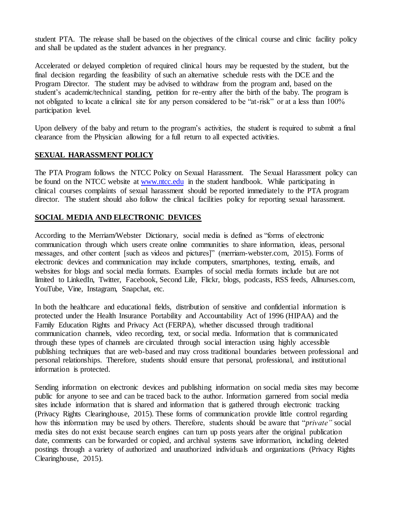student PTA. The release shall be based on the objectives of the clinical course and clinic facility policy and shall be updated as the student advances in her pregnancy.

Accelerated or delayed completion of required clinical hours may be requested by the student, but the final decision regarding the feasibility of such an alternative schedule rests with the DCE and the Program Director. The student may be advised to withdraw from the program and, based on the student's academic/technical standing, petition for re-entry after the birth of the baby. The program is not obligated to locate a clinical site for any person considered to be "at-risk" or at a less than 100% participation level.

Upon delivery of the baby and return to the program's activities, the student is required to submit a final clearance from the Physician allowing for a full return to all expected activities.

# **SEXUAL HARASSMENT POLICY**

The PTA Program follows the NTCC Policy on Sexual Harassment. The Sexual Harassment policy can be found on the NTCC website at [www.ntcc.edu](http://www.ntcc.edu/) in the student handbook. While participating in clinical courses complaints of sexual harassment should be reported immediately to the PTA program director. The student should also follow the clinical facilities policy for reporting sexual harassment.

# **SOCIAL MEDIA AND ELECTRONIC DEVICES**

According to the Merriam/Webster Dictionary, social media is defined as "forms of electronic communication through which users create online communities to share information, ideas, personal messages, and other content [such as videos and pictures]" (merriam-webster.com, 2015). Forms of electronic devices and communication may include computers, smartphones, texting, emails, and websites for blogs and social media formats. Examples of social media formats include but are not limited to LinkedIn, Twitter, Facebook, Second Life, Flickr, blogs, podcasts, RSS feeds, Allnurses.com, YouTube, Vine, Instagram, Snapchat, etc.

In both the healthcare and educational fields, distribution of sensitive and confidential information is protected under the Health Insurance Portability and Accountability Act of 1996 (HIPAA) and the Family Education Rights and Privacy Act (FERPA), whether discussed through traditional communication channels, video recording, text, or social media. Information that is communicated through these types of channels are circulated through social interaction using highly accessible publishing techniques that are web-based and may cross traditional boundaries between professional and personal relationships. Therefore, students should ensure that personal, professional, and institutional information is protected.

Sending information on electronic devices and publishing information on social media sites may become public for anyone to see and can be traced back to the author. Information garnered from social media sites include information that is shared and information that is gathered through electronic tracking (Privacy Rights Clearinghouse, 2015). These forms of communication provide little control regarding how this information may be used by others. Therefore, students should be aware that "*private"* social media sites do not exist because search engines can turn up posts years after the original publication date, comments can be forwarded or copied, and archival systems save information, including deleted postings through a variety of authorized and unauthorized individuals and organizations (Privacy Rights Clearinghouse, 2015).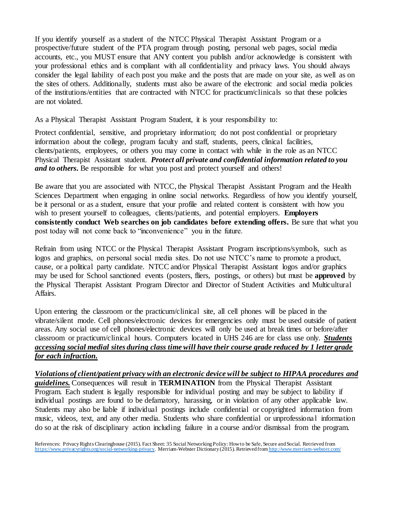If you identify yourself as a student of the NTCC Physical Therapist Assistant Program or a prospective/future student of the PTA program through posting, personal web pages, social media accounts, etc., you MUST ensure that ANY content you publish and/or acknowledge is consistent with your professional ethics and is compliant with all confidentiality and privacy laws. You should always consider the legal liability of each post you make and the posts that are made on your site, as well as on the sites of others. Additionally, students must also be aware of the electronic and social media policies of the institutions/entities that are contracted with NTCC for practicum/clinicals so that these policies are not violated.

As a Physical Therapist Assistant Program Student, it is your responsibility to:

Protect confidential, sensitive, and proprietary information; do not post confidential or proprietary information about the college, program faculty and staff, students, peers, clinical facilities, clients/patients, employees, or others you may come in contact with while in the role as an NTCC Physical Therapist Assistant student. *Protect all private and confidential information related to you and to others*. Be responsible for what you post and protect yourself and others!

Be aware that you are associated with NTCC, the Physical Therapist Assistant Program and the Health Sciences Department when engaging in online social networks. Regardless of how you identify yourself, be it personal or as a student, ensure that your profile and related content is consistent with how you wish to present yourself to colleagues, clients/patients, and potential employers. **Employers consistently conduct Web searches on job candidates before extending offers.** Be sure that what you post today will not come back to "inconvenience" you in the future.

Refrain from using NTCC or the Physical Therapist Assistant Program inscriptions/symbols, such as logos and graphics, on personal social media sites. Do not use NTCC's name to promote a product, cause, or a political party candidate. NTCC and/or Physical Therapist Assistant logos and/or graphics may be used for School sanctioned events (posters, fliers, postings, or others) but must be **approved** by the Physical Therapist Assistant Program Director and Director of Student Activities and Multicultural Affairs.

Upon entering the classroom or the practicum/clinical site, all cell phones will be placed in the vibrate/silent mode. Cell phones/electronic devices for emergencies only must be used outside of patient areas. Any social use of cell phones/electronic devices will only be used at break times or before/after classroom or practicum/clinical hours. Computers located in UHS 246 are for class use only. *Students accessing social medial sites during class time will have their course grade reduced by 1 letter grade for each infraction.*

*Violations of client/patient privacy with an electronic device will be subject to HIPAA procedures and guidelines.* Consequences will result in **TERMINATION** from the Physical Therapist Assistant Program. Each student is legally responsible for individual posting and may be subject to liability if individual postings are found to be defamatory, harassing, or in violation of any other applicable law. Students may also be liable if individual postings include confidential or copyrighted information from music, videos, text, and any other media. Students who share confidential or unprofessiona l information do so at the risk of disciplinary action including failure in a course and/or dismissal from the program.

References: Privacy Rights Clearinghouse (2015). Fact Sheet: 35 Social Networking Policy: How to be Safe, Secure and Social. Retrieved from <https://www.privacyrights.org/social-networking-privacy>. Merriam-Webster Dictionary (2015). Retrieved fro[m http://www.merriam-webster.com/](http://www.merriam-webster.com/)